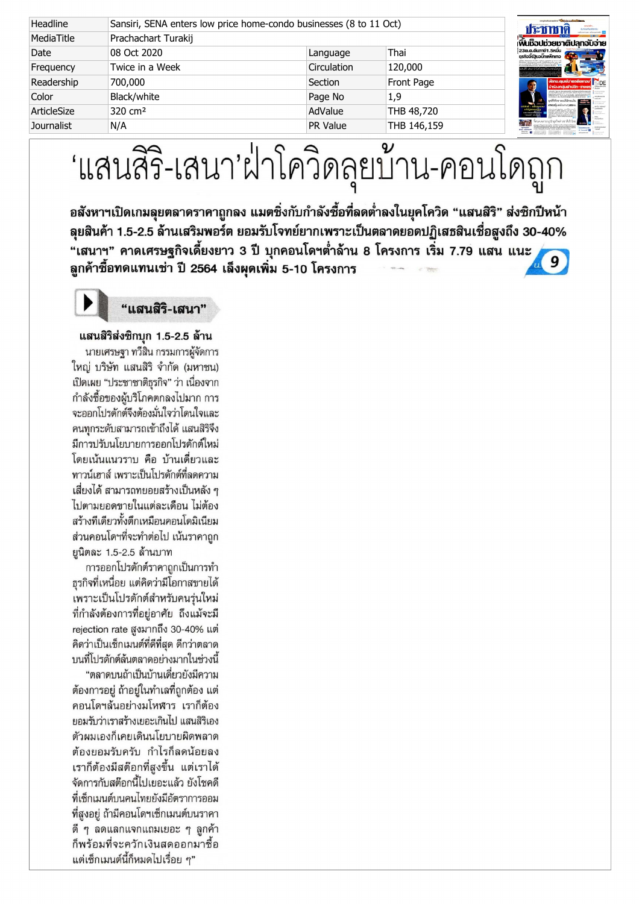| Headline    | Sansiri, SENA enters low price home-condo businesses (8 to 11 Oct) |             |             | ประชาชาติ                                                              |
|-------------|--------------------------------------------------------------------|-------------|-------------|------------------------------------------------------------------------|
| MediaTitle  | Prachachart Turakij                                                |             |             | พื้นเชื่อปม่วยมาติปลุทจับจ่าย                                          |
| Date        | 08 Oct 2020                                                        | Language    | Thai        | ่ 23ต.ด.ดีนทาษี1.5หมื่น<br>้ธรกิจจี้รัฐบอบิ๊กแพ็กเกจ                   |
| Frequency   | Twice in a Week                                                    | Circulation | 120,000     |                                                                        |
| Readership  | 700,000                                                            | Section     | Front Page  | . <mark>Sanu.quidu'iasāainou'</mark> en DE<br>น่าร่องทล่มด้าปลีก-เทษตร |
| Color       | Black/white                                                        | Page No     | 1,9         |                                                                        |
| ArticleSize | 320 cm <sup>2</sup>                                                | AdValue     | THB 48,720  |                                                                        |
| Journalist  | N/A                                                                | PR Value    | THB 146,159 | $\frac{1}{\sqrt{2}}$                                                   |

# 'แสนสิริ-เสนา'ฝ่าโควิดลุยบ้าน-คอนโดถูก

อสังหาฯเปิดเกมลุยตลาดราคาถูกลง แมตชิ่งกับกำลังซื้อที่ลดต่ำลงในยุคโควิด "แสนสิริ" ส่งชิกปีหน้า 1.52.5 3040% ี...<br>"เสนาฯ" คาดเศรษฐกิจเดี้ยงยาว 3 ปี บุกคอนโดฯต่ำล้าน 8 โครงการ เริ่ม 7.79 แสน แนะ ิ<br>ลูกค้าซื้อทดแทนเช่า ปี 2564 เล็งผุดเพิ่ม 5-10 โครงการ



" แสนสิริ-เสนา"

## แสนสิริส่งชิกบก 1.5-2.5 ล้าน

นายเศรษฐา ทวีสิน กรรมการผู้จัดการ ใหญ่ บริษัท แสนสิริ จำกัด (มหาชน) เปิดเผย "ประชาชาติธุรกิจ" ว่า เนื่องจาก กำลังซื้อของผับริโภคตกลงไปมาก การ จะออกโปรดักต์จึงต้องมั่นใจว่าโดนใจและ คนทกระดับสามารถเข้าถึงได้ แสนสิริจึง มีการปรับนโยบายการออกโปรดักต์ใหม่ โดยเน้นแนวราบ คือ บ้านเดี่ยวและ ทาวน์เฮาส์ เพราะเป็นโปรดักต์ที่ลดความ เสี่ยงได้ สามารถทยอยสร้างเป็นหลัง ๆ ไปตามยอดขายในแต่ละเดือน ไม่ต้อง สร้างทีเดียวทั้งตึกเหมือนคอนโดมิเนียม ส่วนคอนโดฯที่จะทำต่อไป เน้นราคาถก ยนิตละ 1.5-2.5 ล้านบาท

การออกโปรดักต์ราคาถูกเป็นการทำ ธรกิจที่เหนื่อย แต่คิดว่ามีโอกาสขายได้ เพราะเป็นโปรดักต์สำหรับคนรุ่นใหม่ ที่กำลังต้องการที่อยู่อาศัย ถึงแม้จะมี rejection rate สูงมากถึง 30-40% แต่ คิดว่าเป็นเซ็กเมนต์ที่ดีที่สด ดีกว่าตลาด บนที่โปรดักต์ล้นตลาดอย่างมากในช่วงนี้

"ตลาดบนถ้าเป็นบ้านเดี่ยวยังมีความ ต้องการอยู่ ถ้าอยู่ในทำเลที่ถูกต้อง แต่ คอนโดฯล้นอย่างมโหฬาร เราก็ต้อง ยอมรับว่าเราสร้างเยอะเกินไป แสนสิริเอง ตัวผมเองก็เคยเดินนโยบายผิดพลาด ต้องยอมรับครับ กำไรก็ลดน้อยลง เราก็ต้องมีสต๊อกที่สูงขึ้น แต่เราได้ จัดการกับสต๊อกนี้ไปเยอะแล้ว ยังโชคดี ที่เซ็กเมนต์บนคนไทยยังมีอัตราการออม ที่สูงอยู่ ถ้ามีคอนโดฯเซ็กเมนต์บนราคา ดี ๆ ลดแลกแจกแถมเยอะ ๆ ลูกค้า ก็พร้อมที่จะควักเงินสดออกมาซื้อ แต่เซ็กเมนต์นี้ก็หมดไปเรื่อย ๆ"